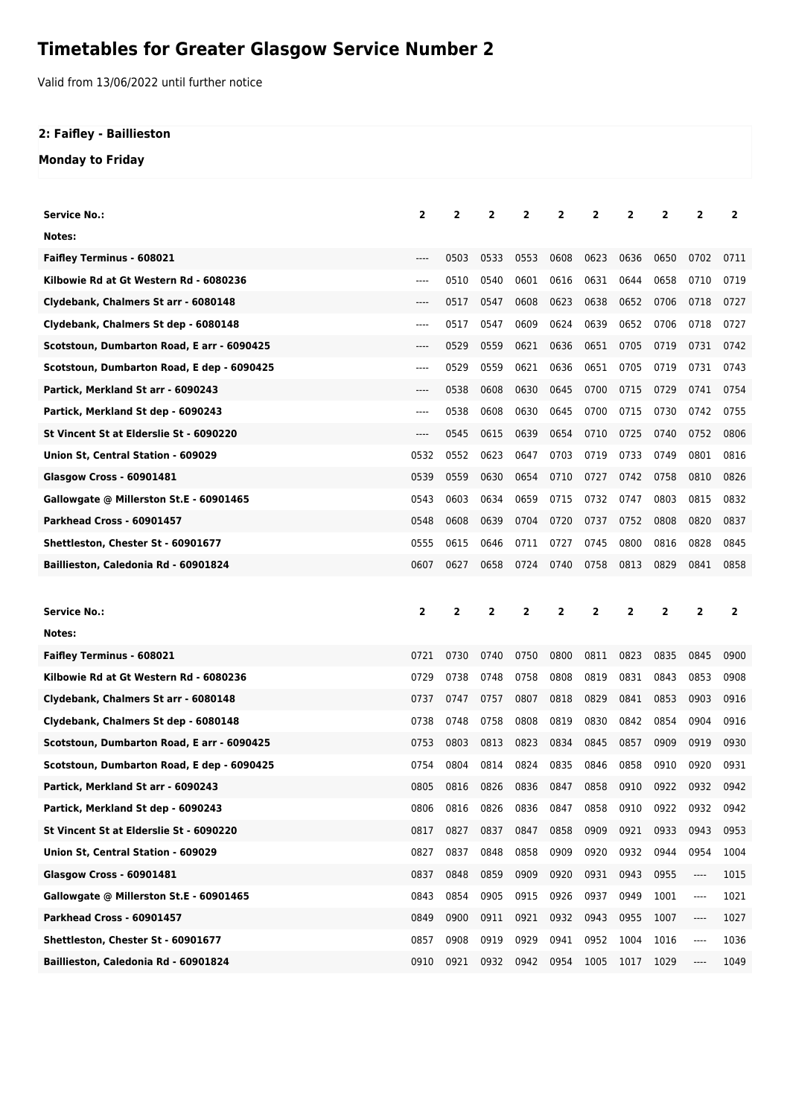## **Timetables for Greater Glasgow Service Number 2**

Valid from 13/06/2022 until further notice

## **2: Faifley - Baillieston**

**Monday to Friday**

| <b>Service No.:</b>                        | $\overline{2}$ | 2    | 2              | 2              | 2    | 2              | 2    | 2    | 2              | 2    |
|--------------------------------------------|----------------|------|----------------|----------------|------|----------------|------|------|----------------|------|
| Notes:                                     |                |      |                |                |      |                |      |      |                |      |
| <b>Faifley Terminus - 608021</b>           | ----           | 0503 | 0533           | 0553           | 0608 | 0623           | 0636 | 0650 | 0702           | 0711 |
| Kilbowie Rd at Gt Western Rd - 6080236     | $---$          | 0510 | 0540           | 0601           | 0616 | 0631           | 0644 | 0658 | 0710           | 0719 |
| Clydebank, Chalmers St arr - 6080148       | $---$          | 0517 | 0547           | 0608           | 0623 | 0638           | 0652 | 0706 | 0718           | 0727 |
| Clydebank, Chalmers St dep - 6080148       | $---$          | 0517 | 0547           | 0609           | 0624 | 0639           | 0652 | 0706 | 0718           | 0727 |
| Scotstoun, Dumbarton Road, E arr - 6090425 | $---$          | 0529 | 0559           | 0621           | 0636 | 0651           | 0705 | 0719 | 0731           | 0742 |
| Scotstoun, Dumbarton Road, E dep - 6090425 | $---$          | 0529 | 0559           | 0621           | 0636 | 0651           | 0705 | 0719 | 0731           | 0743 |
| Partick, Merkland St arr - 6090243         | $---$          | 0538 | 0608           | 0630           | 0645 | 0700           | 0715 | 0729 | 0741           | 0754 |
| Partick, Merkland St dep - 6090243         | $---$          | 0538 | 0608           | 0630           | 0645 | 0700           | 0715 | 0730 | 0742           | 0755 |
| St Vincent St at Elderslie St - 6090220    | $---$          | 0545 | 0615           | 0639           | 0654 | 0710           | 0725 | 0740 | 0752           | 0806 |
| Union St, Central Station - 609029         | 0532           | 0552 | 0623           | 0647           | 0703 | 0719           | 0733 | 0749 | 0801           | 0816 |
| <b>Glasgow Cross - 60901481</b>            | 0539           | 0559 | 0630           | 0654           | 0710 | 0727           | 0742 | 0758 | 0810           | 0826 |
| Gallowgate @ Millerston St.E - 60901465    | 0543           | 0603 | 0634           | 0659           | 0715 | 0732           | 0747 | 0803 | 0815           | 0832 |
| Parkhead Cross - 60901457                  | 0548           | 0608 | 0639           | 0704           | 0720 | 0737           | 0752 | 0808 | 0820           | 0837 |
| <b>Shettleston, Chester St - 60901677</b>  | 0555           | 0615 | 0646           | 0711           | 0727 | 0745           | 0800 | 0816 | 0828           | 0845 |
| Baillieston, Caledonia Rd - 60901824       | 0607           | 0627 | 0658           | 0724           | 0740 | 0758           | 0813 | 0829 | 0841           | 0858 |
|                                            |                |      |                |                |      |                |      |      |                |      |
|                                            |                |      |                |                |      |                |      |      |                |      |
| Service No.:                               | 2              | 2    | $\overline{2}$ | $\overline{2}$ | 2    | $\overline{2}$ | 2    | 2    | $\overline{2}$ | 2    |
| Notes:                                     |                |      |                |                |      |                |      |      |                |      |
| <b>Faifley Terminus - 608021</b>           | 0721           | 0730 | 0740           | 0750           | 0800 | 0811           | 0823 | 0835 | 0845           | 0900 |
| Kilbowie Rd at Gt Western Rd - 6080236     | 0729           | 0738 | 0748           | 0758           | 0808 | 0819           | 0831 | 0843 | 0853           | 0908 |
| Clydebank, Chalmers St arr - 6080148       | 0737           | 0747 | 0757           | 0807           | 0818 | 0829           | 0841 | 0853 | 0903           | 0916 |
| Clydebank, Chalmers St dep - 6080148       | 0738           | 0748 | 0758           | 0808           | 0819 | 0830           | 0842 | 0854 | 0904           | 0916 |
| Scotstoun, Dumbarton Road, E arr - 6090425 | 0753           | 0803 | 0813           | 0823           | 0834 | 0845           | 0857 | 0909 | 0919           | 0930 |
| Scotstoun, Dumbarton Road, E dep - 6090425 | 0754           | 0804 | 0814           | 0824           | 0835 | 0846           | 0858 | 0910 | 0920           | 0931 |
| Partick, Merkland St arr - 6090243         | 0805           | 0816 | 0826           | 0836           | 0847 | 0858           | 0910 | 0922 | 0932           | 0942 |
| Partick, Merkland St dep - 6090243         | 0806           | 0816 | 0826           | 0836           | 0847 | 0858           | 0910 | 0922 | 0932           | 0942 |
| St Vincent St at Elderslie St - 6090220    | 0817           | 0827 | 0837           | 0847           | 0858 | 0909           | 0921 | 0933 | 0943           | 0953 |
| Union St, Central Station - 609029         | 0827           | 0837 | 0848           | 0858           | 0909 | 0920           | 0932 | 0944 | 0954           | 1004 |
| Glasgow Cross - 60901481                   | 0837           | 0848 | 0859           | 0909           | 0920 | 0931           | 0943 | 0955 | ----           | 1015 |
| Gallowgate @ Millerston St.E - 60901465    | 0843           | 0854 | 0905           | 0915           | 0926 | 0937           | 0949 | 1001 | ----           | 1021 |
| Parkhead Cross - 60901457                  | 0849           | 0900 | 0911           | 0921           | 0932 | 0943           | 0955 | 1007 | ----           | 1027 |
| Shettleston, Chester St - 60901677         | 0857           | 0908 | 0919           | 0929           | 0941 | 0952           | 1004 | 1016 | ----           | 1036 |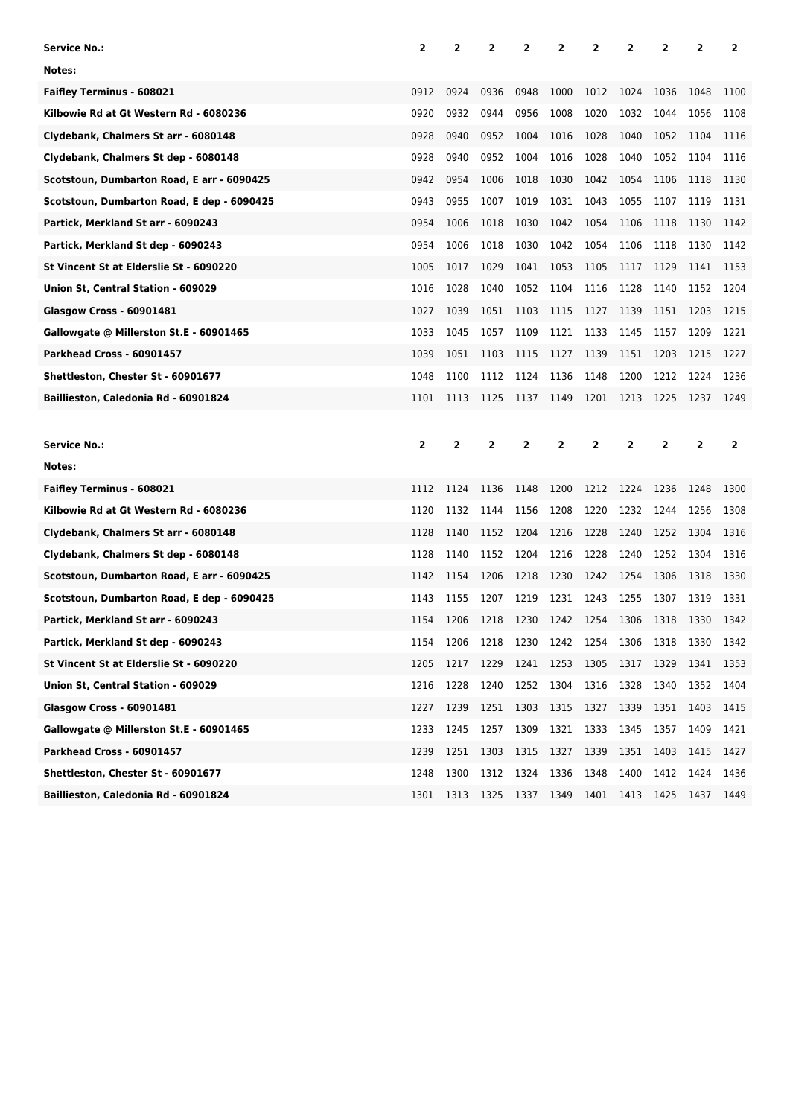| <b>Service No.:</b>                        | 2    | 2    | 2            | 2    | 2    | 2              | 2    | 2    | 2            | 2    |
|--------------------------------------------|------|------|--------------|------|------|----------------|------|------|--------------|------|
| Notes:                                     |      |      |              |      |      |                |      |      |              |      |
| <b>Faifley Terminus - 608021</b>           | 0912 | 0924 | 0936         | 0948 | 1000 | 1012           | 1024 | 1036 | 1048         | 1100 |
| Kilbowie Rd at Gt Western Rd - 6080236     | 0920 | 0932 | 0944         | 0956 | 1008 | 1020           | 1032 | 1044 | 1056         | 1108 |
| Clydebank, Chalmers St arr - 6080148       | 0928 | 0940 | 0952         | 1004 | 1016 | 1028           | 1040 | 1052 | 1104         | 1116 |
| Clydebank, Chalmers St dep - 6080148       | 0928 | 0940 | 0952         | 1004 | 1016 | 1028           | 1040 | 1052 | 1104         | 1116 |
| Scotstoun, Dumbarton Road, E arr - 6090425 | 0942 | 0954 | 1006         | 1018 | 1030 | 1042           | 1054 | 1106 | 1118         | 1130 |
| Scotstoun, Dumbarton Road, E dep - 6090425 | 0943 | 0955 | 1007         | 1019 | 1031 | 1043           | 1055 | 1107 | 1119         | 1131 |
| Partick, Merkland St arr - 6090243         | 0954 | 1006 | 1018         | 1030 | 1042 | 1054           | 1106 | 1118 | 1130         | 1142 |
| Partick, Merkland St dep - 6090243         | 0954 | 1006 | 1018         | 1030 | 1042 | 1054           | 1106 | 1118 | 1130         | 1142 |
| St Vincent St at Elderslie St - 6090220    | 1005 | 1017 | 1029         | 1041 | 1053 | 1105           | 1117 | 1129 | 1141         | 1153 |
| Union St, Central Station - 609029         | 1016 | 1028 | 1040         | 1052 | 1104 | 1116           | 1128 | 1140 | 1152         | 1204 |
| <b>Glasgow Cross - 60901481</b>            | 1027 | 1039 | 1051         | 1103 | 1115 | 1127           | 1139 | 1151 | 1203         | 1215 |
| Gallowgate @ Millerston St.E - 60901465    | 1033 | 1045 | 1057         | 1109 | 1121 | 1133           | 1145 | 1157 | 1209         | 1221 |
| Parkhead Cross - 60901457                  | 1039 | 1051 | 1103         | 1115 | 1127 | 1139           | 1151 | 1203 | 1215         | 1227 |
| Shettleston, Chester St - 60901677         | 1048 | 1100 | 1112         | 1124 | 1136 | 1148           | 1200 | 1212 | 1224         | 1236 |
| Baillieston, Caledonia Rd - 60901824       | 1101 | 1113 | 1125         | 1137 | 1149 | 1201           | 1213 | 1225 | 1237         | 1249 |
|                                            |      |      |              |      |      |                |      |      |              |      |
|                                            |      |      |              |      |      |                |      |      |              |      |
| <b>Service No.:</b>                        | 2    | 2    | $\mathbf{2}$ | 2    | 2    | $\overline{2}$ | 2    | 2    | $\mathbf{2}$ | 2    |
| Notes:                                     |      |      |              |      |      |                |      |      |              |      |
| <b>Faifley Terminus - 608021</b>           | 1112 | 1124 | 1136         | 1148 | 1200 | 1212           | 1224 | 1236 | 1248         | 1300 |
| Kilbowie Rd at Gt Western Rd - 6080236     | 1120 | 1132 | 1144         | 1156 | 1208 | 1220           | 1232 | 1244 | 1256         | 1308 |
| Clydebank, Chalmers St arr - 6080148       | 1128 | 1140 | 1152         | 1204 | 1216 | 1228           | 1240 | 1252 | 1304         | 1316 |
| Clydebank, Chalmers St dep - 6080148       | 1128 | 1140 | 1152         | 1204 | 1216 | 1228           | 1240 | 1252 | 1304         | 1316 |
| Scotstoun, Dumbarton Road, E arr - 6090425 | 1142 | 1154 | 1206         | 1218 | 1230 | 1242           | 1254 | 1306 | 1318         | 1330 |
| Scotstoun, Dumbarton Road, E dep - 6090425 | 1143 | 1155 | 1207         | 1219 | 1231 | 1243           | 1255 | 1307 | 1319         | 1331 |
| Partick, Merkland St arr - 6090243         | 1154 | 1206 | 1218         | 1230 | 1242 | 1254           | 1306 | 1318 | 1330         | 1342 |
| Partick, Merkland St dep - 6090243         | 1154 | 1206 | 1218         | 1230 | 1242 | 1254           | 1306 | 1318 | 1330         | 1342 |
| St Vincent St at Elderslie St - 6090220    | 1205 | 1217 | 1229         | 1241 | 1253 | 1305           | 1317 | 1329 | 1341         | 1353 |
| Union St, Central Station - 609029         | 1216 | 1228 | 1240         | 1252 | 1304 | 1316           | 1328 | 1340 | 1352         | 1404 |
| <b>Glasgow Cross - 60901481</b>            | 1227 | 1239 | 1251         | 1303 | 1315 | 1327           | 1339 | 1351 | 1403         | 1415 |
| Gallowgate @ Millerston St.E - 60901465    | 1233 | 1245 | 1257         | 1309 | 1321 | 1333           | 1345 | 1357 | 1409         | 1421 |
| Parkhead Cross - 60901457                  | 1239 | 1251 | 1303         | 1315 | 1327 | 1339           | 1351 | 1403 | 1415         | 1427 |
| Shettleston, Chester St - 60901677         | 1248 | 1300 | 1312         | 1324 | 1336 | 1348           | 1400 | 1412 | 1424         | 1436 |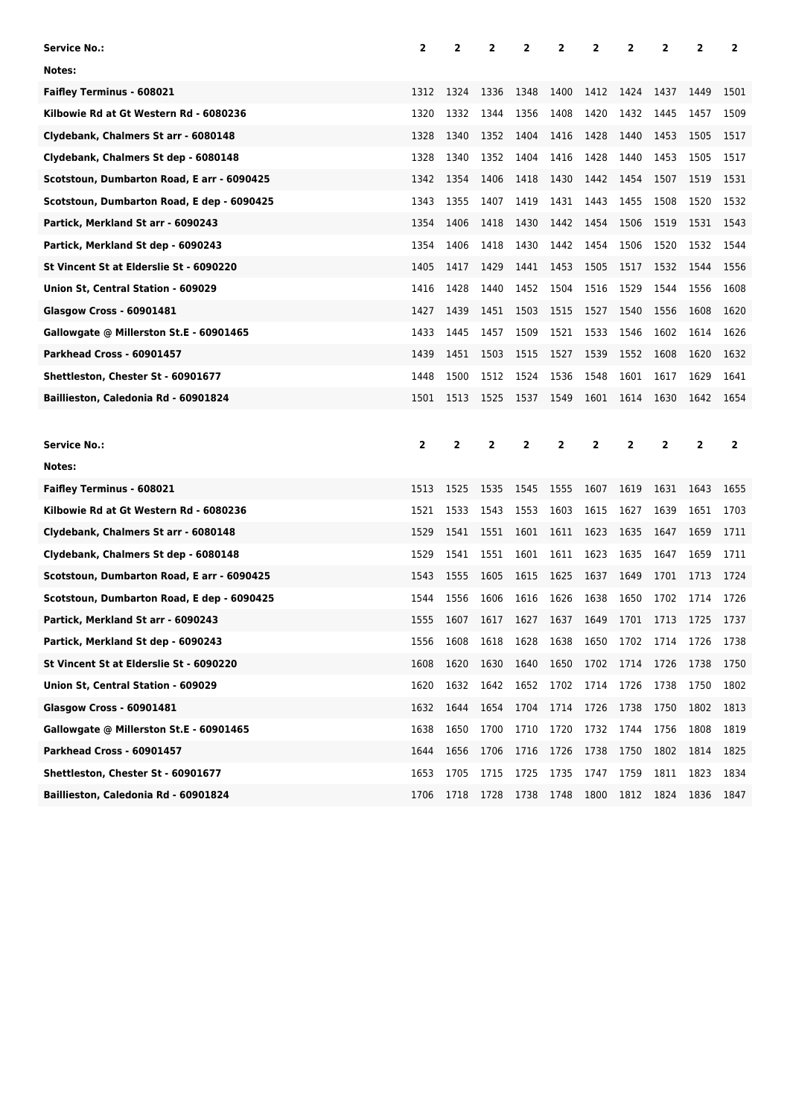| Service No.:                               | 2              | 2              | 2            | 2              | 2    | 2              | 2              | 2    | 2              | 2              |
|--------------------------------------------|----------------|----------------|--------------|----------------|------|----------------|----------------|------|----------------|----------------|
| Notes:                                     |                |                |              |                |      |                |                |      |                |                |
| <b>Faifley Terminus - 608021</b>           | 1312           | 1324           | 1336         | 1348           | 1400 | 1412           | 1424           | 1437 | 1449           | 1501           |
| Kilbowie Rd at Gt Western Rd - 6080236     | 1320           | 1332           | 1344         | 1356           | 1408 | 1420           | 1432           | 1445 | 1457           | 1509           |
| Clydebank, Chalmers St arr - 6080148       | 1328           | 1340           | 1352         | 1404           | 1416 | 1428           | 1440           | 1453 | 1505           | 1517           |
| Clydebank, Chalmers St dep - 6080148       | 1328           | 1340           | 1352         | 1404           | 1416 | 1428           | 1440           | 1453 | 1505           | 1517           |
| Scotstoun, Dumbarton Road, E arr - 6090425 | 1342           | 1354           | 1406         | 1418           | 1430 | 1442           | 1454           | 1507 | 1519           | 1531           |
| Scotstoun, Dumbarton Road, E dep - 6090425 | 1343           | 1355           | 1407         | 1419           | 1431 | 1443           | 1455           | 1508 | 1520           | 1532           |
| Partick, Merkland St arr - 6090243         | 1354           | 1406           | 1418         | 1430           | 1442 | 1454           | 1506           | 1519 | 1531           | 1543           |
| Partick, Merkland St dep - 6090243         | 1354           | 1406           | 1418         | 1430           | 1442 | 1454           | 1506           | 1520 | 1532           | 1544           |
| St Vincent St at Elderslie St - 6090220    | 1405           | 1417           | 1429         | 1441           | 1453 | 1505           | 1517           | 1532 | 1544           | 1556           |
| Union St, Central Station - 609029         | 1416           | 1428           | 1440         | 1452           | 1504 | 1516           | 1529           | 1544 | 1556           | 1608           |
| <b>Glasgow Cross - 60901481</b>            | 1427           | 1439           | 1451         | 1503           | 1515 | 1527           | 1540           | 1556 | 1608           | 1620           |
| Gallowgate @ Millerston St.E - 60901465    | 1433           | 1445           | 1457         | 1509           | 1521 | 1533           | 1546           | 1602 | 1614           | 1626           |
| Parkhead Cross - 60901457                  | 1439           | 1451           | 1503         | 1515           | 1527 | 1539           | 1552           | 1608 | 1620           | 1632           |
| Shettleston, Chester St - 60901677         | 1448           | 1500           | 1512         | 1524           | 1536 | 1548           | 1601           | 1617 | 1629           | 1641           |
| Baillieston, Caledonia Rd - 60901824       | 1501           | 1513           | 1525         | 1537           | 1549 | 1601           | 1614           | 1630 | 1642           | 1654           |
|                                            |                |                |              |                |      |                |                |      |                |                |
|                                            |                |                |              |                |      |                |                |      |                |                |
| <b>Service No.:</b>                        | $\overline{2}$ | $\overline{2}$ | $\mathbf{2}$ | $\overline{2}$ | 2    | $\overline{2}$ | $\overline{2}$ | 2    | $\overline{2}$ | $\overline{2}$ |
| Notes:                                     |                |                |              |                |      |                |                |      |                |                |
| <b>Faifley Terminus - 608021</b>           | 1513           | 1525           | 1535         | 1545           | 1555 | 1607           | 1619           | 1631 | 1643           | 1655           |
| Kilbowie Rd at Gt Western Rd - 6080236     | 1521           | 1533           | 1543         | 1553           | 1603 | 1615           | 1627           | 1639 | 1651           | 1703           |
| Clydebank, Chalmers St arr - 6080148       | 1529           | 1541           | 1551         | 1601           | 1611 | 1623           | 1635           | 1647 | 1659           | 1711           |
| Clydebank, Chalmers St dep - 6080148       | 1529           | 1541           | 1551         | 1601           | 1611 | 1623           | 1635           | 1647 | 1659           | 1711           |
| Scotstoun, Dumbarton Road, E arr - 6090425 | 1543           | 1555           | 1605         | 1615           | 1625 | 1637           | 1649           | 1701 | 1713           | 1724           |
| Scotstoun, Dumbarton Road, E dep - 6090425 | 1544           | 1556           | 1606         | 1616           | 1626 | 1638           | 1650           | 1702 | 1714           | 1726           |
| Partick, Merkland St arr - 6090243         | 1555           | 1607           | 1617         | 1627           | 1637 | 1649           | 1701           | 1713 | 1725           | 1737           |
| Partick, Merkland St dep - 6090243         | 1556           | 1608           | 1618         | 1628           | 1638 | 1650 1702      |                | 1714 | 1726           | 1738           |
| St Vincent St at Elderslie St - 6090220    | 1608           | 1620           | 1630         | 1640           | 1650 | 1702           | 1714           | 1726 | 1738           | 1750           |
| Union St, Central Station - 609029         | 1620           | 1632           | 1642         | 1652           | 1702 | 1714           | 1726           | 1738 | 1750           | 1802           |
| <b>Glasgow Cross - 60901481</b>            | 1632           | 1644           | 1654         | 1704           | 1714 | 1726           | 1738           | 1750 | 1802           | 1813           |
| Gallowgate @ Millerston St.E - 60901465    | 1638           | 1650           | 1700         | 1710           | 1720 | 1732           | 1744           | 1756 | 1808           | 1819           |
| Parkhead Cross - 60901457                  | 1644           | 1656           | 1706         | 1716           | 1726 | 1738           | 1750           | 1802 | 1814           | 1825           |
| Shettleston, Chester St - 60901677         | 1653           | 1705           | 1715         | 1725           | 1735 | 1747           | 1759           | 1811 | 1823           | 1834           |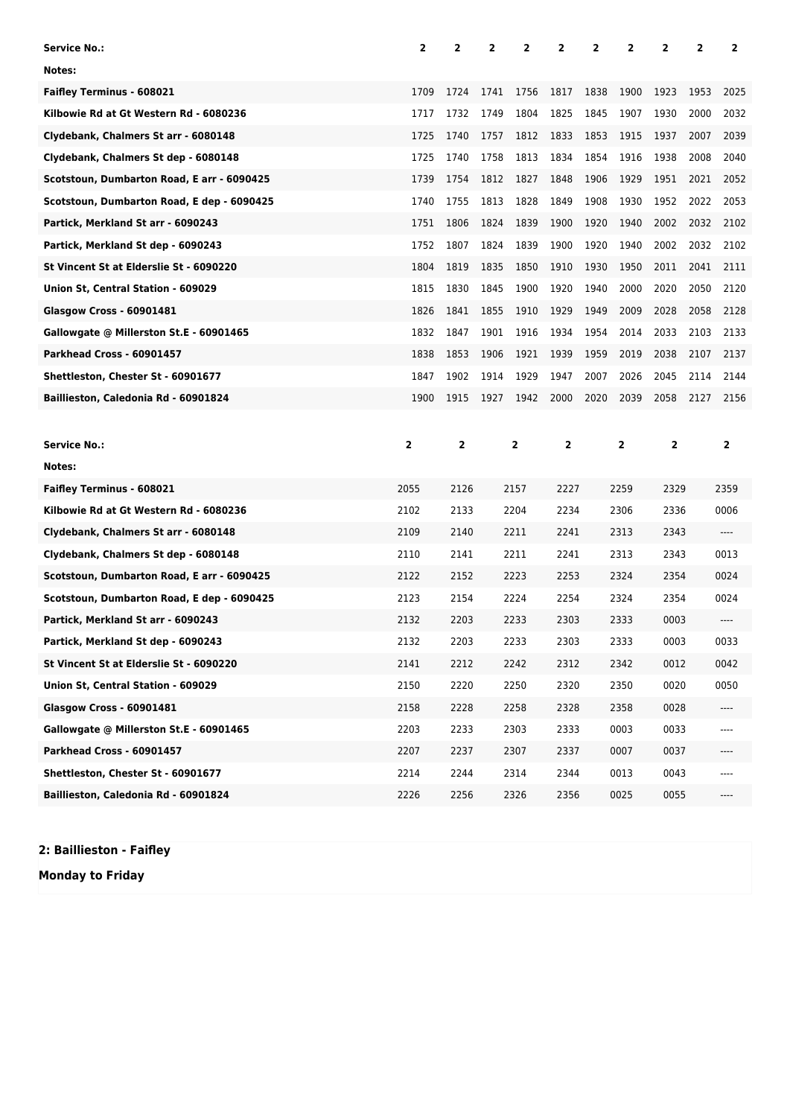| Service No.:                               | $\mathbf{2}$ | 2            | 2    | 2    | $\overline{2}$ | 2    | 2            | 2              | 2    | 2              |
|--------------------------------------------|--------------|--------------|------|------|----------------|------|--------------|----------------|------|----------------|
| Notes:                                     |              |              |      |      |                |      |              |                |      |                |
| <b>Faifley Terminus - 608021</b>           | 1709         | 1724         | 1741 | 1756 | 1817           | 1838 | 1900         | 1923           | 1953 | 2025           |
| Kilbowie Rd at Gt Western Rd - 6080236     | 1717         | 1732         | 1749 | 1804 | 1825           | 1845 | 1907         | 1930           | 2000 | 2032           |
| Clydebank, Chalmers St arr - 6080148       | 1725         | 1740         | 1757 | 1812 | 1833           | 1853 | 1915         | 1937           | 2007 | 2039           |
| Clydebank, Chalmers St dep - 6080148       | 1725         | 1740         | 1758 | 1813 | 1834           | 1854 | 1916         | 1938           | 2008 | 2040           |
| Scotstoun, Dumbarton Road, E arr - 6090425 | 1739         | 1754         | 1812 | 1827 | 1848           | 1906 | 1929         | 1951           | 2021 | 2052           |
| Scotstoun, Dumbarton Road, E dep - 6090425 | 1740         | 1755         | 1813 | 1828 | 1849           | 1908 | 1930         | 1952           | 2022 | 2053           |
| Partick, Merkland St arr - 6090243         | 1751         | 1806         | 1824 | 1839 | 1900           | 1920 | 1940         | 2002           | 2032 | 2102           |
| Partick, Merkland St dep - 6090243         | 1752         | 1807         | 1824 | 1839 | 1900           | 1920 | 1940         | 2002           | 2032 | 2102           |
| St Vincent St at Elderslie St - 6090220    | 1804         | 1819         | 1835 | 1850 | 1910           | 1930 | 1950         | 2011           | 2041 | 2111           |
| Union St, Central Station - 609029         | 1815         | 1830         | 1845 | 1900 | 1920           | 1940 | 2000         | 2020           | 2050 | 2120           |
| <b>Glasgow Cross - 60901481</b>            | 1826         | 1841         | 1855 | 1910 | 1929           | 1949 | 2009         | 2028           | 2058 | 2128           |
| Gallowgate @ Millerston St.E - 60901465    | 1832         | 1847         | 1901 | 1916 | 1934           | 1954 | 2014         | 2033           | 2103 | 2133           |
| Parkhead Cross - 60901457                  | 1838         | 1853         | 1906 | 1921 | 1939           | 1959 | 2019         | 2038           | 2107 | 2137           |
| Shettleston, Chester St - 60901677         | 1847         | 1902         | 1914 | 1929 | 1947           | 2007 | 2026         | 2045           | 2114 | 2144           |
| Baillieston, Caledonia Rd - 60901824       | 1900         | 1915         | 1927 | 1942 | 2000           | 2020 | 2039         | 2058           | 2127 | 2156           |
|                                            |              |              |      |      |                |      |              |                |      |                |
|                                            |              |              |      |      |                |      |              |                |      |                |
| Service No.:                               | 2            | $\mathbf{2}$ |      | 2    | $\mathbf{2}$   |      | $\mathbf{2}$ | $\overline{2}$ |      | $\overline{2}$ |
| Notes:                                     |              |              |      |      |                |      |              |                |      |                |
| <b>Faifley Terminus - 608021</b>           | 2055         | 2126         |      | 2157 | 2227           |      | 2259         | 2329           |      | 2359           |
| Kilbowie Rd at Gt Western Rd - 6080236     | 2102         | 2133         |      | 2204 | 2234           |      | 2306         | 2336           |      | 0006           |
| Clydebank, Chalmers St arr - 6080148       | 2109         | 2140         |      | 2211 | 2241           |      | 2313         | 2343           |      | ----           |
| Clydebank, Chalmers St dep - 6080148       | 2110         | 2141         |      | 2211 | 2241           |      | 2313         | 2343           |      | 0013           |
| Scotstoun, Dumbarton Road, E arr - 6090425 | 2122         | 2152         |      | 2223 | 2253           |      | 2324         | 2354           |      | 0024           |
| Scotstoun, Dumbarton Road, E dep - 6090425 | 2123         | 2154         |      | 2224 | 2254           |      | 2324         | 2354           |      | 0024           |
| Partick, Merkland St arr - 6090243         | 2132         | 2203         |      | 2233 | 2303           |      | 2333         | 0003           |      | ----           |
| Partick, Merkland St dep - 6090243         | 2132         | 2203         |      | 2233 | 2303           |      | 2333         | 0003           |      | 0033           |
| St Vincent St at Elderslie St - 6090220    | 2141         | 2212         |      | 2242 | 2312           |      | 2342         | 0012           |      | 0042           |
| Union St, Central Station - 609029         | 2150         | 2220         |      | 2250 | 2320           |      | 2350         | 0020           |      | 0050           |
| <b>Glasgow Cross - 60901481</b>            | 2158         | 2228         |      | 2258 | 2328           |      | 2358         | 0028           |      | ----           |
| Gallowgate @ Millerston St.E - 60901465    | 2203         | 2233         |      | 2303 | 2333           |      | 0003         | 0033           |      | ----           |
| Parkhead Cross - 60901457                  | 2207         | 2237         |      | 2307 | 2337           |      | 0007         | 0037           |      | ----           |
| Shettleston, Chester St - 60901677         | 2214         | 2244         |      | 2314 | 2344           |      | 0013         | 0043           |      | ----           |

**2: Baillieston - Faifley**

**Monday to Friday**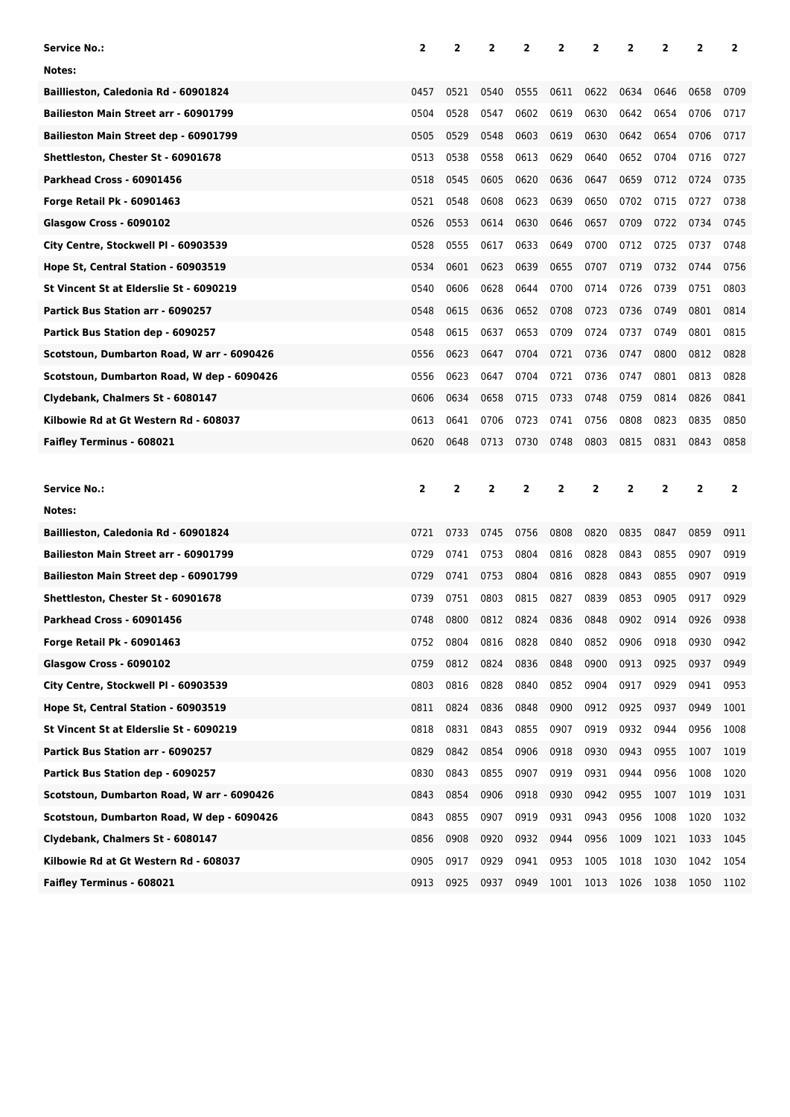| Service No.:                               | 2              | 2              | $\overline{2}$ | 2              | 2              | 2              | 2              | 2              | 2              | 2            |
|--------------------------------------------|----------------|----------------|----------------|----------------|----------------|----------------|----------------|----------------|----------------|--------------|
| Notes:                                     |                |                |                |                |                |                |                |                |                |              |
| Baillieston, Caledonia Rd - 60901824       | 0457           | 0521           | 0540           | 0555           | 0611           | 0622           | 0634           | 0646           | 0658           | 0709         |
| Bailieston Main Street arr - 60901799      | 0504           | 0528           | 0547           | 0602           | 0619           | 0630           | 0642           | 0654           | 0706           | 0717         |
| Bailieston Main Street dep - 60901799      | 0505           | 0529           | 0548           | 0603           | 0619           | 0630           | 0642           | 0654           | 0706           | 0717         |
| Shettleston, Chester St - 60901678         | 0513           | 0538           | 0558           | 0613           | 0629           | 0640           | 0652           | 0704           | 0716           | 0727         |
| Parkhead Cross - 60901456                  | 0518           | 0545           | 0605           | 0620           | 0636           | 0647           | 0659           | 0712           | 0724           | 0735         |
| Forge Retail Pk - 60901463                 | 0521           | 0548           | 0608           | 0623           | 0639           | 0650           | 0702           | 0715           | 0727           | 0738         |
| Glasgow Cross - 6090102                    | 0526           | 0553           | 0614           | 0630           | 0646           | 0657           | 0709           | 0722           | 0734           | 0745         |
| City Centre, Stockwell PI - 60903539       | 0528           | 0555           | 0617           | 0633           | 0649           | 0700           | 0712           | 0725           | 0737           | 0748         |
| Hope St, Central Station - 60903519        | 0534           | 0601           | 0623           | 0639           | 0655           | 0707           | 0719           | 0732           | 0744           | 0756         |
| St Vincent St at Elderslie St - 6090219    | 0540           | 0606           | 0628           | 0644           | 0700           | 0714           | 0726           | 0739           | 0751           | 0803         |
| Partick Bus Station arr - 6090257          | 0548           | 0615           | 0636           | 0652           | 0708           | 0723           | 0736           | 0749           | 0801           | 0814         |
| Partick Bus Station dep - 6090257          | 0548           | 0615           | 0637           | 0653           | 0709           | 0724           | 0737           | 0749           | 0801           | 0815         |
| Scotstoun, Dumbarton Road, W arr - 6090426 | 0556           | 0623           | 0647           | 0704           | 0721           | 0736           | 0747           | 0800           | 0812           | 0828         |
| Scotstoun, Dumbarton Road, W dep - 6090426 | 0556           | 0623           | 0647           | 0704           | 0721           | 0736           | 0747           | 0801           | 0813           | 0828         |
| Clydebank, Chalmers St - 6080147           | 0606           | 0634           | 0658           | 0715           | 0733           | 0748           | 0759           | 0814           | 0826           | 0841         |
| Kilbowie Rd at Gt Western Rd - 608037      | 0613           | 0641           | 0706           | 0723           | 0741           | 0756           | 0808           | 0823           | 0835           | 0850         |
| Faifley Terminus - 608021                  | 0620           | 0648           | 0713           | 0730           | 0748           | 0803           | 0815           | 0831           | 0843           | 0858         |
|                                            |                |                |                |                |                |                |                |                |                |              |
|                                            |                |                |                |                |                |                |                |                |                |              |
| Service No.:                               | $\overline{2}$ | $\overline{2}$ | $\overline{2}$ | $\overline{2}$ | $\overline{2}$ | $\overline{2}$ | $\overline{2}$ | $\overline{2}$ | $\overline{2}$ | $\mathbf{2}$ |
| Notes:                                     |                |                |                |                |                |                |                |                |                |              |
| Baillieston, Caledonia Rd - 60901824       | 0721           | 0733           | 0745           | 0756           | 0808           | 0820           | 0835           | 0847           | 0859           | 0911         |
| Bailieston Main Street arr - 60901799      | 0729           | 0741           | 0753           | 0804           | 0816           | 0828           | 0843           | 0855           | 0907           | 0919         |
| Bailieston Main Street dep - 60901799      | 0729           | 0741           | 0753           | 0804           | 0816           | 0828           | 0843           | 0855           | 0907           | 0919         |
| Shettleston, Chester St - 60901678         | 0739           | 0751           | 0803           | 0815           | 0827           | 0839           | 0853           | 0905           | 0917           | 0929         |
| Parkhead Cross - 60901456                  | 0748           | 0800           | 0812           | 0824           | 0836           | 0848           | 0902           | 0914           | 0926           | 0938         |
| Forge Retail Pk - 60901463                 | 0752           | 0804           | 0816           | 0828           | 0840           | 0852           | 0906           | 0918           | 0930           | 0942         |
| Glasgow Cross - 6090102                    | 0759           | 0812           | 0824           | 0836           | 0848           | 0900           | 0913           | 0925           | 0937           | 0949         |
| City Centre, Stockwell PI - 60903539       | 0803           | 0816           | 0828           | 0840           | 0852           | 0904           | 0917           | 0929           | 0941           | 0953         |
| Hope St, Central Station - 60903519        | 0811           | 0824           | 0836           | 0848           | 0900           | 0912           | 0925           | 0937           | 0949           | 1001         |
| St Vincent St at Elderslie St - 6090219    | 0818           | 0831           | 0843           | 0855           | 0907           | 0919           | 0932           | 0944           | 0956           | 1008         |
| Partick Bus Station arr - 6090257          | 0829           | 0842           | 0854           | 0906           | 0918           | 0930           | 0943           | 0955           | 1007           | 1019         |
| Partick Bus Station dep - 6090257          | 0830           | 0843           | 0855           | 0907           | 0919           | 0931           | 0944           | 0956           | 1008           | 1020         |
| Scotstoun, Dumbarton Road, W arr - 6090426 | 0843           | 0854           | 0906           | 0918           | 0930           | 0942           | 0955           | 1007           | 1019           | 1031         |
| Scotstoun, Dumbarton Road, W dep - 6090426 | 0843           | 0855           | 0907           | 0919           | 0931           | 0943           | 0956           | 1008           | 1020           | 1032         |
| Clydebank, Chalmers St - 6080147           | 0856           | 0908           | 0920           | 0932           | 0944           | 0956           | 1009           | 1021           | 1033           | 1045         |
| Kilbowie Rd at Gt Western Rd - 608037      | 0905           | 0917           | 0929           | 0941           | 0953           | 1005           | 1018           | 1030           | 1042           | 1054         |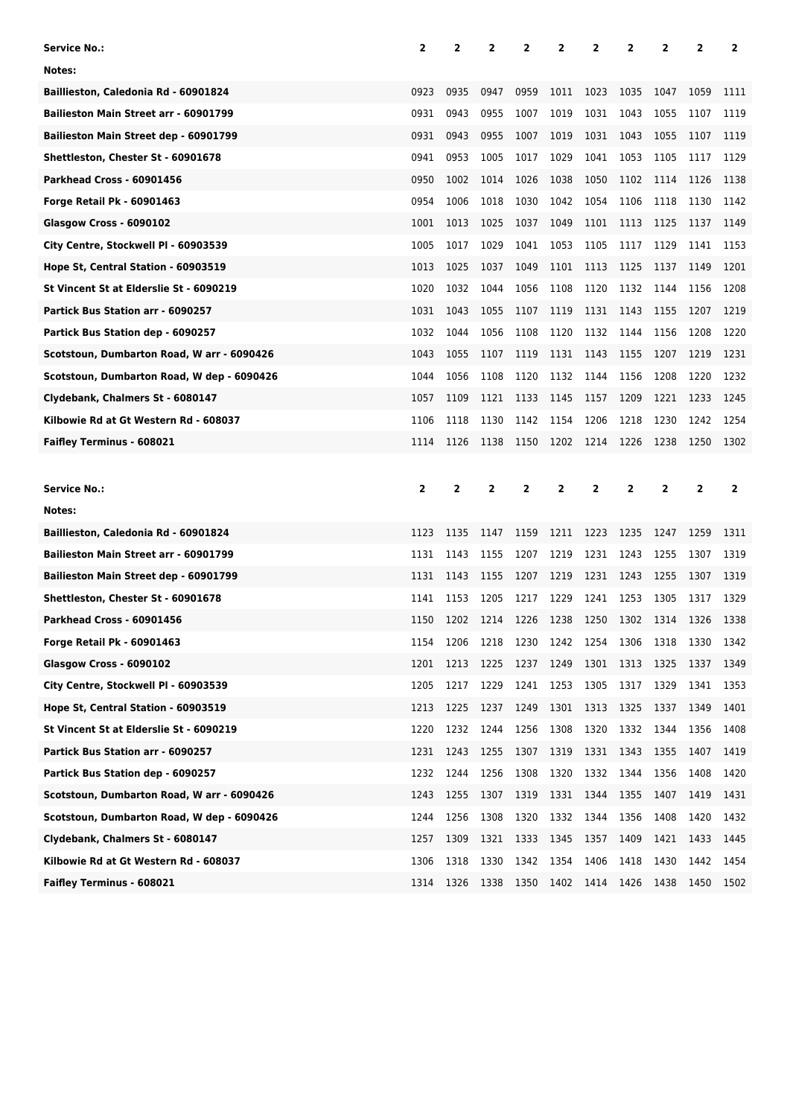| <b>Service No.:</b>                        | 2            | 2    | 2            | 2    | 2    | 2            | 2    | 2              | 2              | 2            |
|--------------------------------------------|--------------|------|--------------|------|------|--------------|------|----------------|----------------|--------------|
| Notes:                                     |              |      |              |      |      |              |      |                |                |              |
| Baillieston, Caledonia Rd - 60901824       | 0923         | 0935 | 0947         | 0959 | 1011 | 1023         | 1035 | 1047           | 1059           | 1111         |
| Bailieston Main Street arr - 60901799      | 0931         | 0943 | 0955         | 1007 | 1019 | 1031         | 1043 | 1055           | 1107           | 1119         |
| Bailieston Main Street dep - 60901799      | 0931         | 0943 | 0955         | 1007 | 1019 | 1031         | 1043 | 1055           | 1107           | 1119         |
| Shettleston, Chester St - 60901678         | 0941         | 0953 | 1005         | 1017 | 1029 | 1041         | 1053 | 1105           | 1117           | 1129         |
| Parkhead Cross - 60901456                  | 0950         | 1002 | 1014         | 1026 | 1038 | 1050         | 1102 | 1114           | 1126           | 1138         |
| <b>Forge Retail Pk - 60901463</b>          | 0954         | 1006 | 1018         | 1030 | 1042 | 1054         | 1106 | 1118           | 1130           | 1142         |
| Glasgow Cross - 6090102                    | 1001         | 1013 | 1025         | 1037 | 1049 | 1101         | 1113 | 1125           | 1137           | 1149         |
| City Centre, Stockwell PI - 60903539       | 1005         | 1017 | 1029         | 1041 | 1053 | 1105         | 1117 | 1129           | 1141           | 1153         |
| Hope St, Central Station - 60903519        | 1013         | 1025 | 1037         | 1049 | 1101 | 1113         | 1125 | 1137           | 1149           | 1201         |
| St Vincent St at Elderslie St - 6090219    | 1020         | 1032 | 1044         | 1056 | 1108 | 1120         | 1132 | 1144           | 1156           | 1208         |
| Partick Bus Station arr - 6090257          | 1031         | 1043 | 1055         | 1107 | 1119 | 1131         | 1143 | 1155           | 1207           | 1219         |
| Partick Bus Station dep - 6090257          | 1032         | 1044 | 1056         | 1108 | 1120 | 1132         | 1144 | 1156           | 1208           | 1220         |
| Scotstoun, Dumbarton Road, W arr - 6090426 | 1043         | 1055 | 1107         | 1119 | 1131 | 1143         | 1155 | 1207           | 1219           | 1231         |
| Scotstoun, Dumbarton Road, W dep - 6090426 | 1044         | 1056 | 1108         | 1120 | 1132 | 1144         | 1156 | 1208           | 1220           | 1232         |
| Clydebank, Chalmers St - 6080147           | 1057         | 1109 | 1121         | 1133 | 1145 | 1157         | 1209 | 1221           | 1233           | 1245         |
| Kilbowie Rd at Gt Western Rd - 608037      | 1106         | 1118 | 1130         | 1142 | 1154 | 1206         | 1218 | 1230           | 1242           | 1254         |
| Faifley Terminus - 608021                  | 1114         | 1126 | 1138         | 1150 | 1202 | 1214         | 1226 | 1238           | 1250           | 1302         |
|                                            |              |      |              |      |      |              |      |                |                |              |
|                                            |              |      |              |      |      |              |      |                |                |              |
| Service No.:                               | $\mathbf{2}$ | 2    | $\mathbf{2}$ | 2    | 2    | $\mathbf{2}$ | 2    | $\overline{2}$ | $\overline{2}$ | $\mathbf{2}$ |
| Notes:                                     |              |      |              |      |      |              |      |                |                |              |
| Baillieston, Caledonia Rd - 60901824       | 1123         | 1135 | 1147         | 1159 | 1211 | 1223         | 1235 | 1247           | 1259           | 1311         |
| Bailieston Main Street arr - 60901799      | 1131         | 1143 | 1155         | 1207 | 1219 | 1231         | 1243 | 1255           | 1307           | 1319         |
| Bailieston Main Street dep - 60901799      | 1131         | 1143 | 1155         | 1207 | 1219 | 1231         | 1243 | 1255           | 1307           | 1319         |
| Shettleston, Chester St - 60901678         | 1141         | 1153 | 1205         | 1217 | 1229 | 1241         | 1253 | 1305           | 1317           | 1329         |
| Parkhead Cross - 60901456                  | 1150         | 1202 | 1214         | 1226 | 1238 | 1250         | 1302 | 1314           | 1326           | 1338         |
| <b>Forge Retail Pk - 60901463</b>          | 1154         | 1206 | 1218         | 1230 | 1242 | 1254         | 1306 | 1318           | 1330           | 1342         |
| Glasgow Cross - 6090102                    | 1201         | 1213 | 1225         | 1237 | 1249 | 1301         | 1313 | 1325           | 1337           | 1349         |
| City Centre, Stockwell PI - 60903539       | 1205         | 1217 | 1229         | 1241 | 1253 | 1305         | 1317 | 1329           | 1341           | 1353         |
| Hope St, Central Station - 60903519        | 1213         | 1225 | 1237         | 1249 | 1301 | 1313         | 1325 | 1337           | 1349           | 1401         |
| St Vincent St at Elderslie St - 6090219    | 1220         | 1232 | 1244         | 1256 | 1308 | 1320         | 1332 | 1344           | 1356           | 1408         |
| Partick Bus Station arr - 6090257          | 1231         | 1243 | 1255         | 1307 | 1319 | 1331         | 1343 | 1355           | 1407           | 1419         |
| Partick Bus Station dep - 6090257          | 1232         | 1244 | 1256         | 1308 | 1320 | 1332         | 1344 | 1356           | 1408           | 1420         |
| Scotstoun, Dumbarton Road, W arr - 6090426 | 1243         | 1255 | 1307         | 1319 | 1331 | 1344         | 1355 | 1407           | 1419           | 1431         |
| Scotstoun, Dumbarton Road, W dep - 6090426 | 1244         | 1256 | 1308         | 1320 | 1332 | 1344         | 1356 | 1408           | 1420           | 1432         |
| Clydebank, Chalmers St - 6080147           | 1257         | 1309 | 1321         | 1333 | 1345 | 1357         | 1409 | 1421           | 1433           | 1445         |
| Kilbowie Rd at Gt Western Rd - 608037      | 1306         | 1318 | 1330         | 1342 | 1354 | 1406         | 1418 | 1430           | 1442           | 1454         |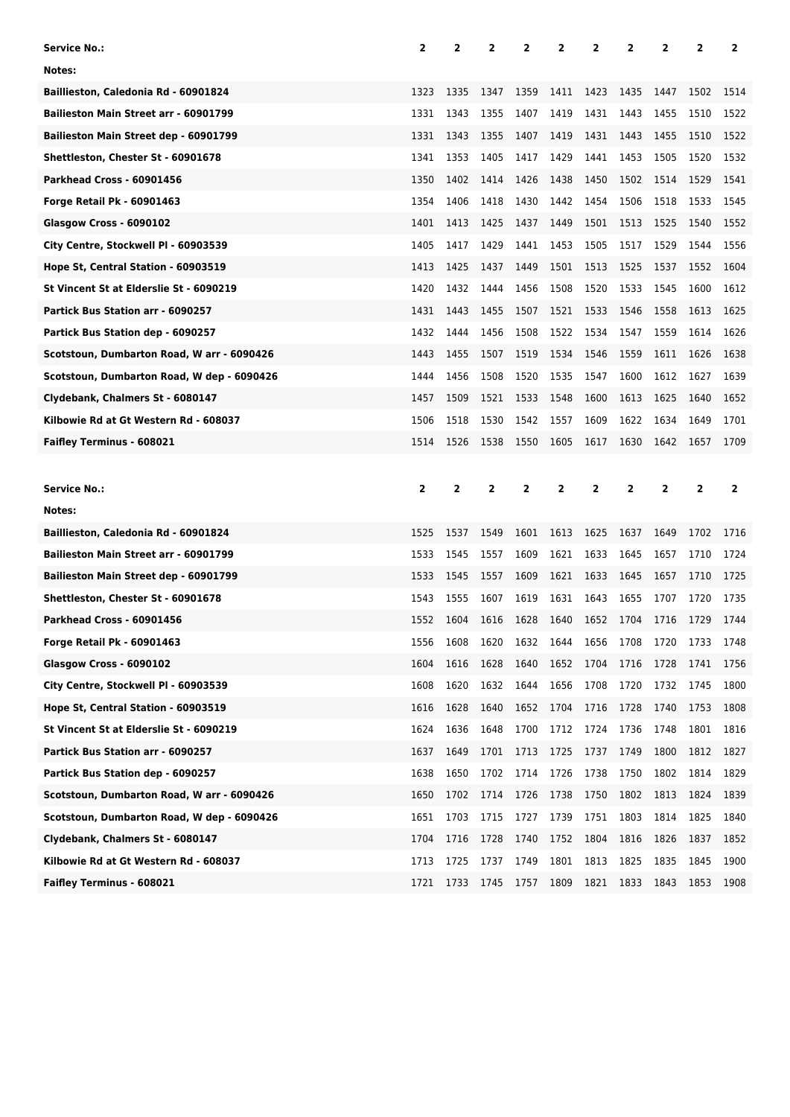| Service No.:                               | 2              | 2              | 2            | 2              | 2    | 2            | 2              | 2              | 2              | 2              |
|--------------------------------------------|----------------|----------------|--------------|----------------|------|--------------|----------------|----------------|----------------|----------------|
| Notes:                                     |                |                |              |                |      |              |                |                |                |                |
| Baillieston, Caledonia Rd - 60901824       | 1323           | 1335           | 1347         | 1359           | 1411 | 1423         | 1435           | 1447           | 1502           | 1514           |
| Bailieston Main Street arr - 60901799      | 1331           | 1343           | 1355         | 1407           | 1419 | 1431         | 1443           | 1455           | 1510           | 1522           |
| Bailieston Main Street dep - 60901799      | 1331           | 1343           | 1355         | 1407           | 1419 | 1431         | 1443           | 1455           | 1510           | 1522           |
| Shettleston, Chester St - 60901678         | 1341           | 1353           | 1405         | 1417           | 1429 | 1441         | 1453           | 1505           | 1520           | 1532           |
| Parkhead Cross - 60901456                  | 1350           | 1402           | 1414         | 1426           | 1438 | 1450         | 1502           | 1514           | 1529           | 1541           |
| Forge Retail Pk - 60901463                 | 1354           | 1406           | 1418         | 1430           | 1442 | 1454         | 1506           | 1518           | 1533           | 1545           |
| Glasgow Cross - 6090102                    | 1401           | 1413           | 1425         | 1437           | 1449 | 1501         | 1513           | 1525           | 1540           | 1552           |
| City Centre, Stockwell PI - 60903539       | 1405           | 1417           | 1429         | 1441           | 1453 | 1505         | 1517           | 1529           | 1544           | 1556           |
| Hope St, Central Station - 60903519        | 1413           | 1425           | 1437         | 1449           | 1501 | 1513         | 1525           | 1537           | 1552           | 1604           |
| St Vincent St at Elderslie St - 6090219    | 1420           | 1432           | 1444         | 1456           | 1508 | 1520         | 1533           | 1545           | 1600           | 1612           |
| Partick Bus Station arr - 6090257          | 1431           | 1443           | 1455         | 1507           | 1521 | 1533         | 1546           | 1558           | 1613           | 1625           |
| Partick Bus Station dep - 6090257          | 1432           | 1444           | 1456         | 1508           | 1522 | 1534         | 1547           | 1559           | 1614           | 1626           |
| Scotstoun, Dumbarton Road, W arr - 6090426 | 1443           | 1455           | 1507         | 1519           | 1534 | 1546         | 1559           | 1611           | 1626           | 1638           |
| Scotstoun, Dumbarton Road, W dep - 6090426 | 1444           | 1456           | 1508         | 1520           | 1535 | 1547         | 1600           | 1612           | 1627           | 1639           |
| Clydebank, Chalmers St - 6080147           | 1457           | 1509           | 1521         | 1533           | 1548 | 1600         | 1613           | 1625           | 1640           | 1652           |
| Kilbowie Rd at Gt Western Rd - 608037      | 1506           | 1518           | 1530         | 1542           | 1557 | 1609         | 1622           | 1634           | 1649           | 1701           |
| Faifley Terminus - 608021                  | 1514           | 1526           | 1538         | 1550           | 1605 | 1617         | 1630           | 1642           | 1657           | 1709           |
|                                            |                |                |              |                |      |              |                |                |                |                |
|                                            |                |                |              |                |      |              |                |                |                |                |
| Service No.:                               | $\overline{2}$ | $\overline{2}$ | $\mathbf{2}$ | $\overline{2}$ | 2    | $\mathbf{2}$ | $\overline{2}$ | $\overline{2}$ | $\overline{2}$ | $\overline{2}$ |
| Notes:                                     |                |                |              |                |      |              |                |                |                |                |
| Baillieston, Caledonia Rd - 60901824       | 1525           | 1537           | 1549         | 1601           | 1613 | 1625         | 1637           | 1649           | 1702           | 1716           |
| Bailieston Main Street arr - 60901799      | 1533           | 1545           | 1557         | 1609           | 1621 | 1633         | 1645           | 1657           | 1710           | 1724           |
| Bailieston Main Street dep - 60901799      | 1533           | 1545           | 1557         | 1609           | 1621 | 1633         | 1645           | 1657           | 1710           | 1725           |
| Shettleston, Chester St - 60901678         | 1543           | 1555           | 1607         | 1619           | 1631 | 1643         | 1655           | 1707           | 1720           | 1735           |
| Parkhead Cross - 60901456                  | 1552           | 1604           | 1616         | 1628           | 1640 | 1652         | 1704           | 1716           | 1729           | 1744           |
| Forge Retail Pk - 60901463                 | 1556           | 1608           | 1620         | 1632           | 1644 | 1656         | 1708           | 1720           | 1733           | 1748           |
| Glasgow Cross - 6090102                    | 1604           | 1616           | 1628         | 1640           | 1652 | 1704         | 1716           | 1728           | 1741           | 1756           |
| City Centre, Stockwell Pl - 60903539       | 1608           | 1620           | 1632         | 1644           | 1656 | 1708         | 1720           | 1732           | 1745           | 1800           |
| Hope St, Central Station - 60903519        | 1616           | 1628           | 1640         | 1652           | 1704 | 1716         | 1728           | 1740           | 1753           | 1808           |
| St Vincent St at Elderslie St - 6090219    | 1624           | 1636           | 1648         | 1700           | 1712 | 1724         | 1736           | 1748           | 1801           | 1816           |
| Partick Bus Station arr - 6090257          | 1637           | 1649           | 1701         | 1713           | 1725 | 1737         | 1749           | 1800           | 1812           | 1827           |
| Partick Bus Station dep - 6090257          | 1638           | 1650           | 1702         | 1714           | 1726 | 1738         | 1750           | 1802           | 1814           | 1829           |
| Scotstoun, Dumbarton Road, W arr - 6090426 | 1650           | 1702           | 1714         | 1726           | 1738 | 1750         | 1802           | 1813           | 1824           | 1839           |
| Scotstoun, Dumbarton Road, W dep - 6090426 | 1651           | 1703           | 1715         | 1727           | 1739 | 1751         | 1803           | 1814           | 1825           | 1840           |
| Clydebank, Chalmers St - 6080147           | 1704           | 1716           | 1728         | 1740           | 1752 | 1804         | 1816           | 1826           | 1837           | 1852           |
| Kilbowie Rd at Gt Western Rd - 608037      | 1713           | 1725           | 1737         | 1749           | 1801 | 1813         | 1825           | 1835           | 1845           | 1900           |